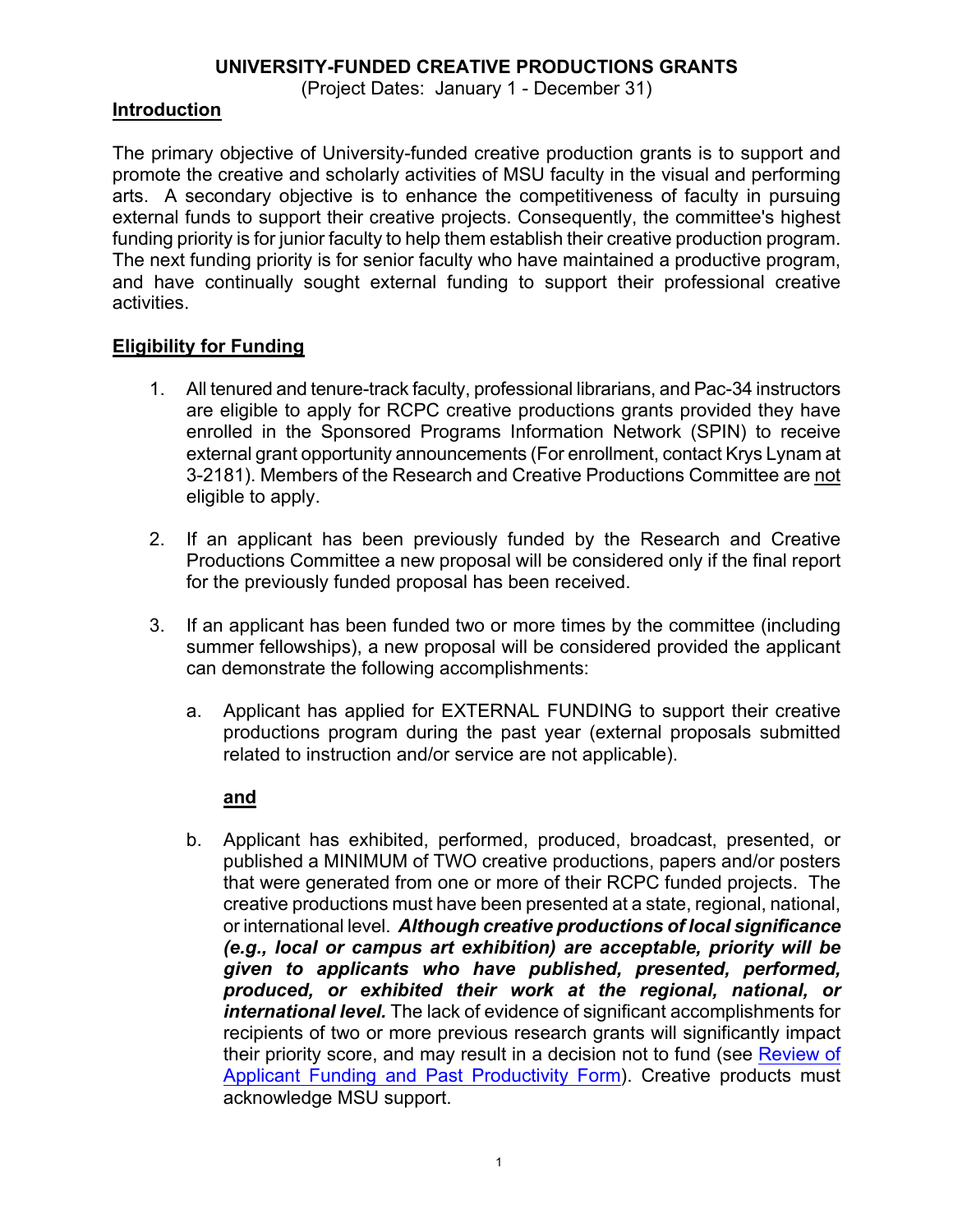## **UNIVERSITY-FUNDED CREATIVE PRODUCTIONS GRANTS**

(Project Dates: January 1 - December 31)

## **Introduction**

The primary objective of University-funded creative production grants is to support and promote the creative and scholarly activities of MSU faculty in the visual and performing arts. A secondary objective is to enhance the competitiveness of faculty in pursuing external funds to support their creative projects. Consequently, the committee's highest funding priority is for junior faculty to help them establish their creative production program. The next funding priority is for senior faculty who have maintained a productive program, and have continually sought external funding to support their professional creative activities.

# **Eligibility for Funding**

- 1. All tenured and tenure-track faculty, professional librarians, and Pac-34 instructors are eligible to apply for RCPC creative productions grants provided they have enrolled in the Sponsored Programs Information Network (SPIN) to receive external grant opportunity announcements (For enrollment, contact Krys Lynam at 3-2181). Members of the Research and Creative Productions Committee are not eligible to apply.
- 2. If an applicant has been previously funded by the Research and Creative Productions Committee a new proposal will be considered only if the final report for the previously funded proposal has been received.
- 3. If an applicant has been funded two or more times by the committee (including summer fellowships), a new proposal will be considered provided the applicant can demonstrate the following accomplishments:
	- a. Applicant has applied for EXTERNAL FUNDING to support their creative productions program during the past year (external proposals submitted related to instruction and/or service are not applicable).

## **and**

b. Applicant has exhibited, performed, produced, broadcast, presented, or published a MINIMUM of TWO creative productions, papers and/or posters that were generated from one or more of their RCPC funded projects. The creative productions must have been presented at a state, regional, national, or international level. *Although creative productions of local significance (e.g., local or campus art exhibition) are acceptable, priority will be given to applicants who have published, presented, performed, produced, or exhibited their work at the regional, national, or international level.* The lack of evidence of significant accomplishments for recipients of two or more previous research grants will significantly impact their priority score, and may result in a decision not to fund (see Review of Applicant Funding and Past Productivity Form). Creative products must acknowledge MSU support.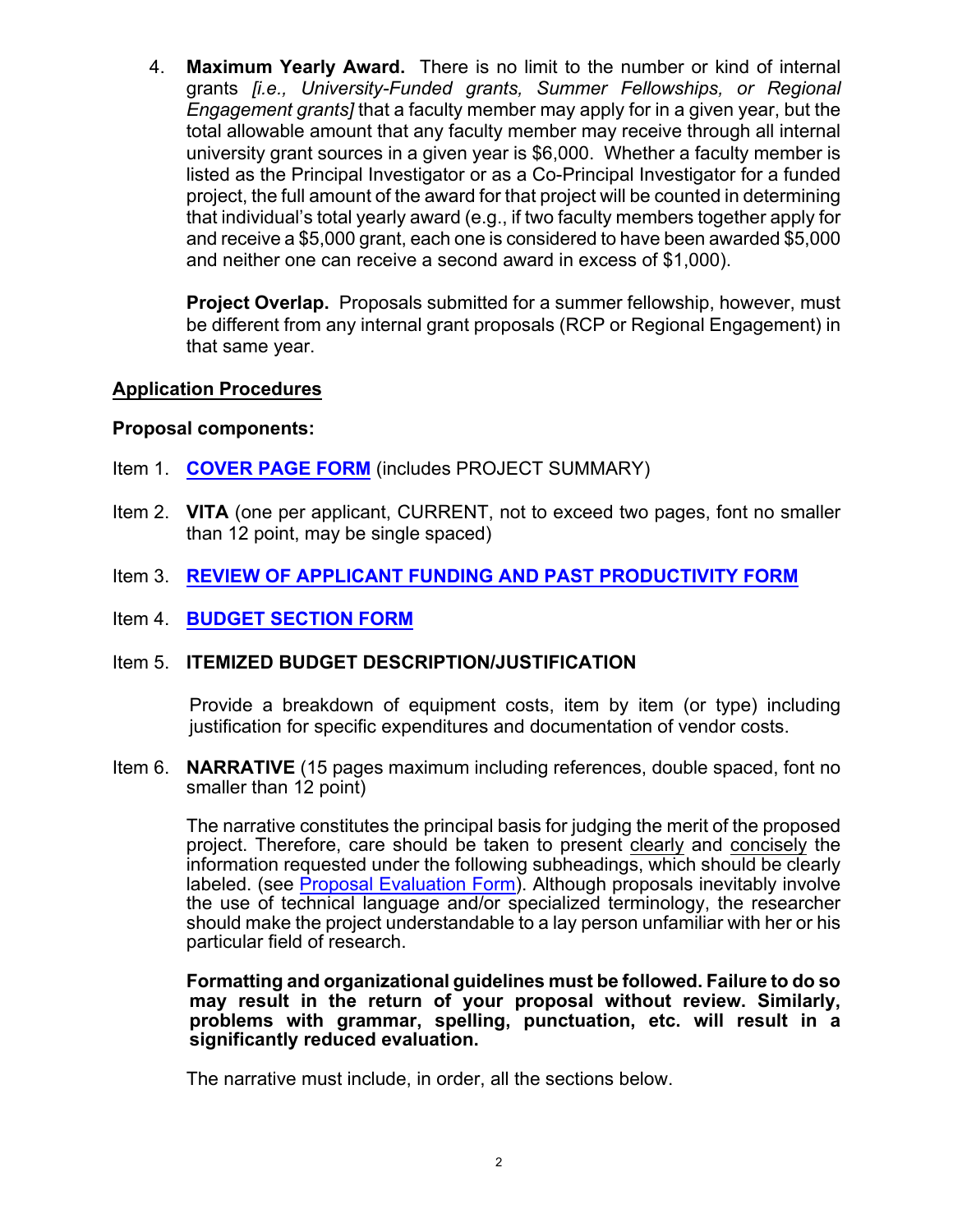4. **Maximum Yearly Award.** There is no limit to the number or kind of internal grants *[i.e., University-Funded grants, Summer Fellowships, or Regional Engagement grants]* that a faculty member may apply for in a given year, but the total allowable amount that any faculty member may receive through all internal university grant sources in a given year is \$6,000. Whether a faculty member is listed as the Principal Investigator or as a Co-Principal Investigator for a funded project, the full amount of the award for that project will be counted in determining that individual's total yearly award (e.g., if two faculty members together apply for and receive a \$5,000 grant, each one is considered to have been awarded \$5,000 and neither one can receive a second award in excess of \$1,000).

**Project Overlap.** Proposals submitted for a summer fellowship, however, must be different from any internal grant proposals (RCP or Regional Engagement) in that same year.

## **Application Procedures**

## **Proposal components:**

- Item 1. **COVER PAGE FORM** (includes PROJECT SUMMARY)
- Item 2. **VITA** (one per applicant, CURRENT, not to exceed two pages, font no smaller than 12 point, may be single spaced)
- Item 3. **REVIEW OF APPLICANT FUNDING AND PAST PRODUCTIVITY FORM**
- Item 4. **BUDGET SECTION FORM**

## Item 5. **ITEMIZED BUDGET DESCRIPTION/JUSTIFICATION**

Provide a breakdown of equipment costs, item by item (or type) including justification for specific expenditures and documentation of vendor costs.

Item 6. **NARRATIVE** (15 pages maximum including references, double spaced, font no smaller than 12 point)

> The narrative constitutes the principal basis for judging the merit of the proposed project. Therefore, care should be taken to present clearly and concisely the information requested under the following subheadings, which should be clearly labeled. (see Proposal Evaluation Form). Although proposals inevitably involve the use of technical language and/or specialized terminology, the researcher should make the project understandable to a lay person unfamiliar with her or his particular field of research.

#### **Formatting and organizational guidelines must be followed. Failure to do so may result in the return of your proposal without review. Similarly, problems with grammar, spelling, punctuation, etc. will result in a significantly reduced evaluation.**

The narrative must include, in order, all the sections below.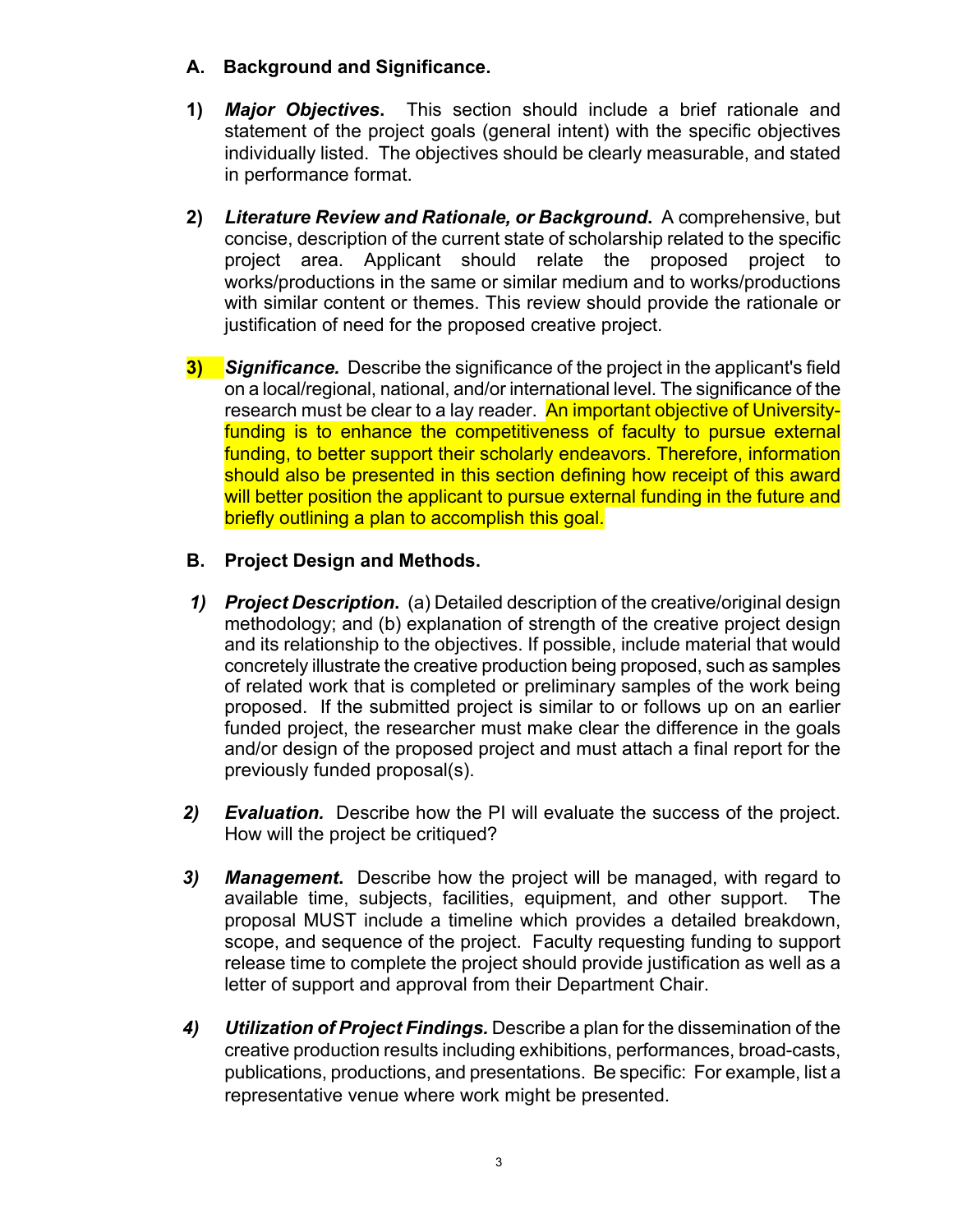# **A. Background and Significance.**

- **1)** *Major Objectives***.** This section should include a brief rationale and statement of the project goals (general intent) with the specific objectives individually listed. The objectives should be clearly measurable, and stated in performance format.
- **2)** *Literature Review and Rationale, or Background***.** A comprehensive, but concise, description of the current state of scholarship related to the specific project area. Applicant should relate the proposed project to works/productions in the same or similar medium and to works/productions with similar content or themes. This review should provide the rationale or justification of need for the proposed creative project.
- **3)** *Significance.* Describe the significance of the project in the applicant's field on a local/regional, national, and/or international level. The significance of the research must be clear to a lay reader. An important objective of Universityfunding is to enhance the competitiveness of faculty to pursue external funding, to better support their scholarly endeavors. Therefore, information should also be presented in this section defining how receipt of this award will better position the applicant to pursue external funding in the future and briefly outlining a plan to accomplish this goal.

# **B. Project Design and Methods.**

- *1) Project Description***.** (a) Detailed description of the creative/original design methodology; and (b) explanation of strength of the creative project design and its relationship to the objectives. If possible, include material that would concretely illustrate the creative production being proposed, such as samples of related work that is completed or preliminary samples of the work being proposed. If the submitted project is similar to or follows up on an earlier funded project, the researcher must make clear the difference in the goals and/or design of the proposed project and must attach a final report for the previously funded proposal(s).
- *2) Evaluation.* Describe how the PI will evaluate the success of the project. How will the project be critiqued?
- *3) Management***.** Describe how the project will be managed, with regard to available time, subjects, facilities, equipment, and other support. The proposal MUST include a timeline which provides a detailed breakdown, scope, and sequence of the project. Faculty requesting funding to support release time to complete the project should provide justification as well as a letter of support and approval from their Department Chair.
- *4) Utilization of Project Findings.* Describe a plan for the dissemination of the creative production results including exhibitions, performances, broad-casts, publications, productions, and presentations. Be specific: For example, list a representative venue where work might be presented.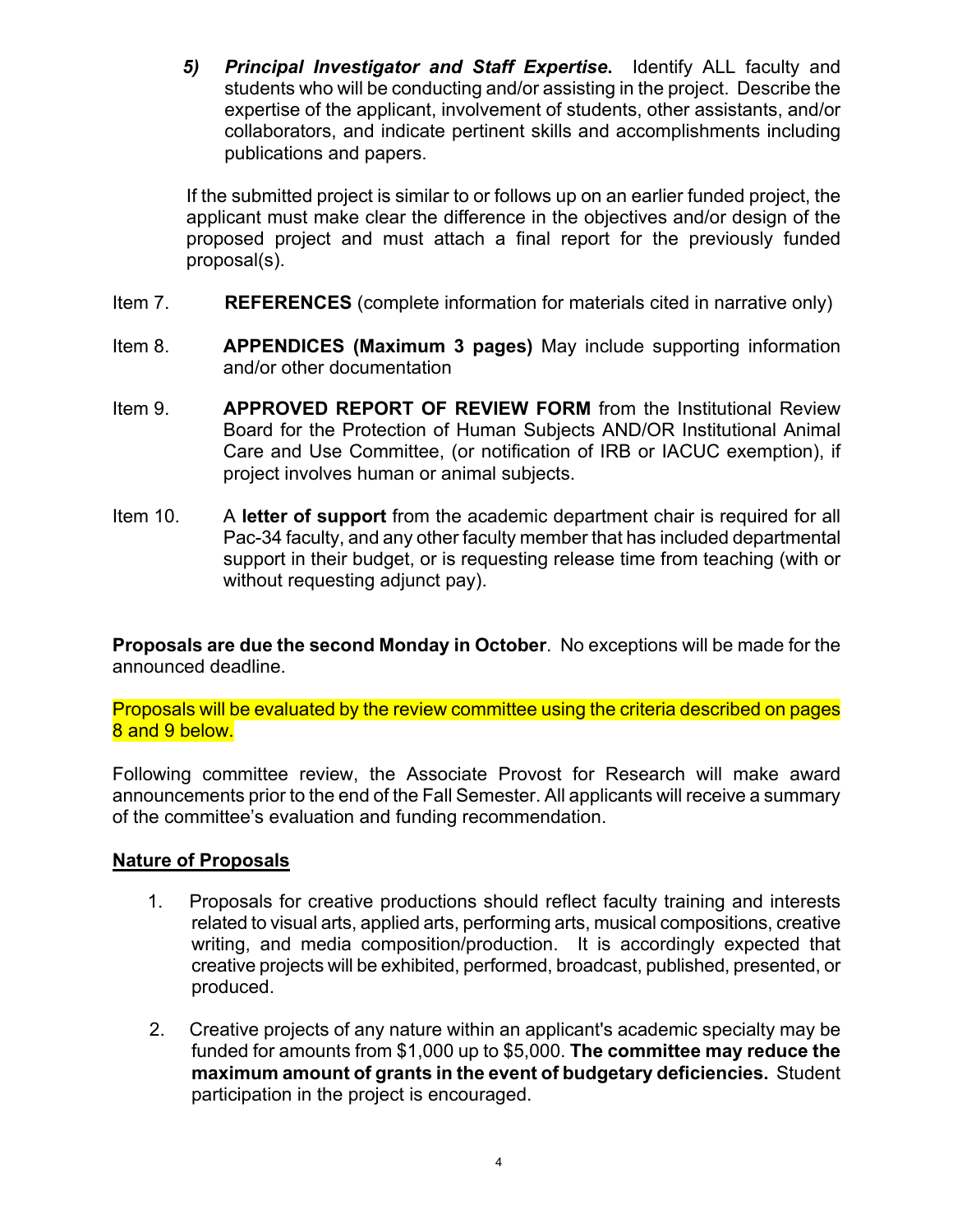*5) Principal Investigator and Staff Expertise***.** Identify ALL faculty and students who will be conducting and/or assisting in the project. Describe the expertise of the applicant, involvement of students, other assistants, and/or collaborators, and indicate pertinent skills and accomplishments including publications and papers.

If the submitted project is similar to or follows up on an earlier funded project, the applicant must make clear the difference in the objectives and/or design of the proposed project and must attach a final report for the previously funded proposal(s).

- Item 7. **REFERENCES** (complete information for materials cited in narrative only)
- Item 8. **APPENDICES (Maximum 3 pages)** May include supporting information and/or other documentation
- Item 9. **APPROVED REPORT OF REVIEW FORM** from the Institutional Review Board for the Protection of Human Subjects AND/OR Institutional Animal Care and Use Committee, (or notification of IRB or IACUC exemption), if project involves human or animal subjects.
- Item 10. A **letter of support** from the academic department chair is required for all Pac-34 faculty, and any other faculty member that has included departmental support in their budget, or is requesting release time from teaching (with or without requesting adjunct pay).

**Proposals are due the second Monday in October**. No exceptions will be made for the announced deadline.

Proposals will be evaluated by the review committee using the criteria described on pages 8 and 9 below.

Following committee review, the Associate Provost for Research will make award announcements prior to the end of the Fall Semester. All applicants will receive a summary of the committee's evaluation and funding recommendation.

# **Nature of Proposals**

- 1. Proposals for creative productions should reflect faculty training and interests related to visual arts, applied arts, performing arts, musical compositions, creative writing, and media composition/production. It is accordingly expected that creative projects will be exhibited, performed, broadcast, published, presented, or produced.
- 2. Creative projects of any nature within an applicant's academic specialty may be funded for amounts from \$1,000 up to \$5,000. **The committee may reduce the maximum amount of grants in the event of budgetary deficiencies.** Student participation in the project is encouraged.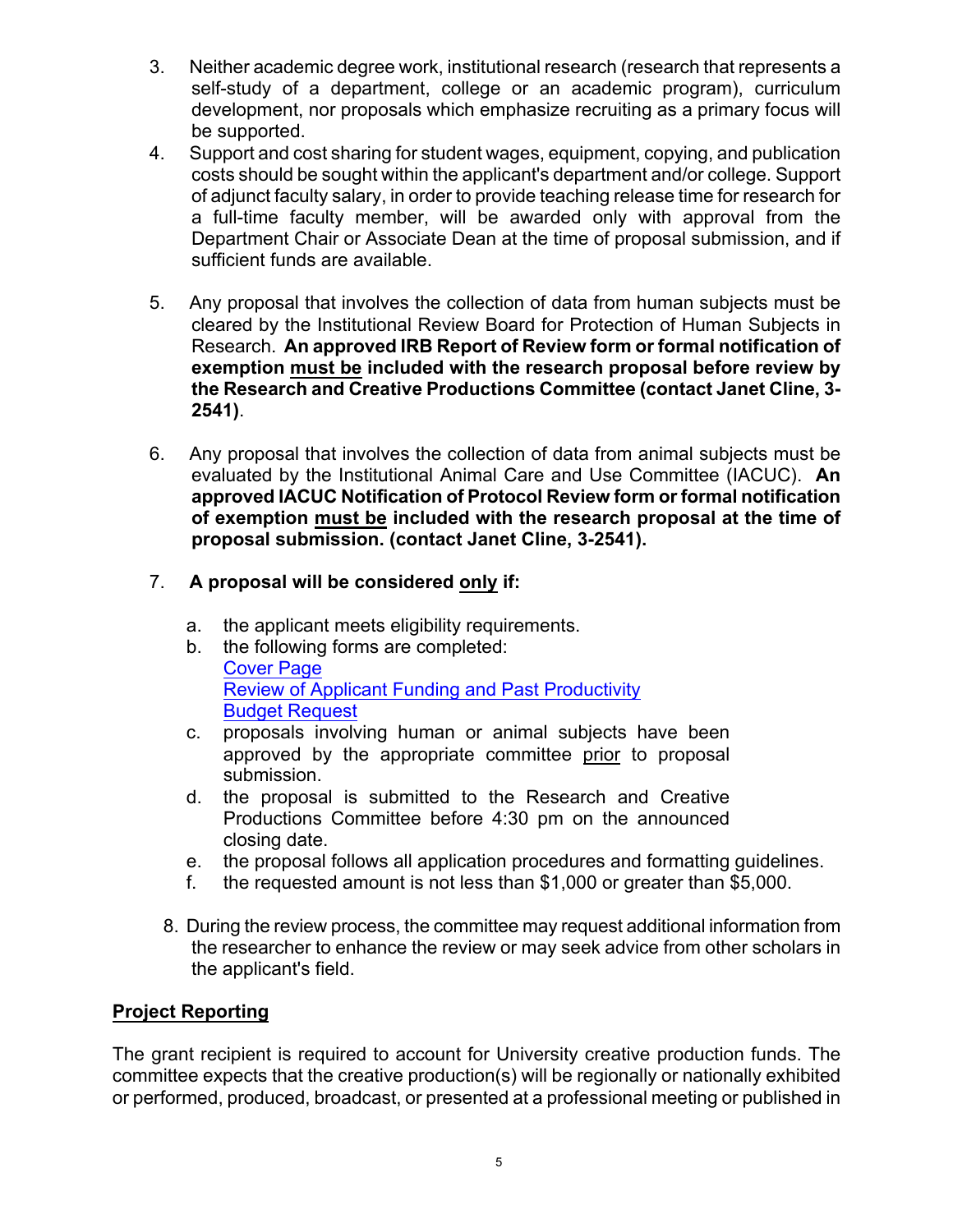- 3. Neither academic degree work, institutional research (research that represents a self-study of a department, college or an academic program), curriculum development, nor proposals which emphasize recruiting as a primary focus will be supported.
- 4. Support and cost sharing for student wages, equipment, copying, and publication costs should be sought within the applicant's department and/or college. Support of adjunct faculty salary, in order to provide teaching release time for research for a full-time faculty member, will be awarded only with approval from the Department Chair or Associate Dean at the time of proposal submission, and if sufficient funds are available.
- 5. Any proposal that involves the collection of data from human subjects must be cleared by the Institutional Review Board for Protection of Human Subjects in Research. **An approved IRB Report of Review form or formal notification of exemption must be included with the research proposal before review by the Research and Creative Productions Committee (contact Janet Cline, 3- 2541)**.
- 6. Any proposal that involves the collection of data from animal subjects must be evaluated by the Institutional Animal Care and Use Committee (IACUC). **An approved IACUC Notification of Protocol Review form or formal notification of exemption must be included with the research proposal at the time of proposal submission. (contact Janet Cline, 3-2541).**
- 7. **A proposal will be considered only if:**
	- a. the applicant meets eligibility requirements.
	- b. the following forms are completed: Cover Page Review of Applicant Funding and Past Productivity Budget Request
	- c. proposals involving human or animal subjects have been approved by the appropriate committee prior to proposal submission.
	- d. the proposal is submitted to the Research and Creative Productions Committee before 4:30 pm on the announced closing date.
	- e. the proposal follows all application procedures and formatting guidelines.
	- f. the requested amount is not less than \$1,000 or greater than \$5,000.
	- 8. During the review process, the committee may request additional information from the researcher to enhance the review or may seek advice from other scholars in the applicant's field.

# **Project Reporting**

The grant recipient is required to account for University creative production funds. The committee expects that the creative production(s) will be regionally or nationally exhibited or performed, produced, broadcast, or presented at a professional meeting or published in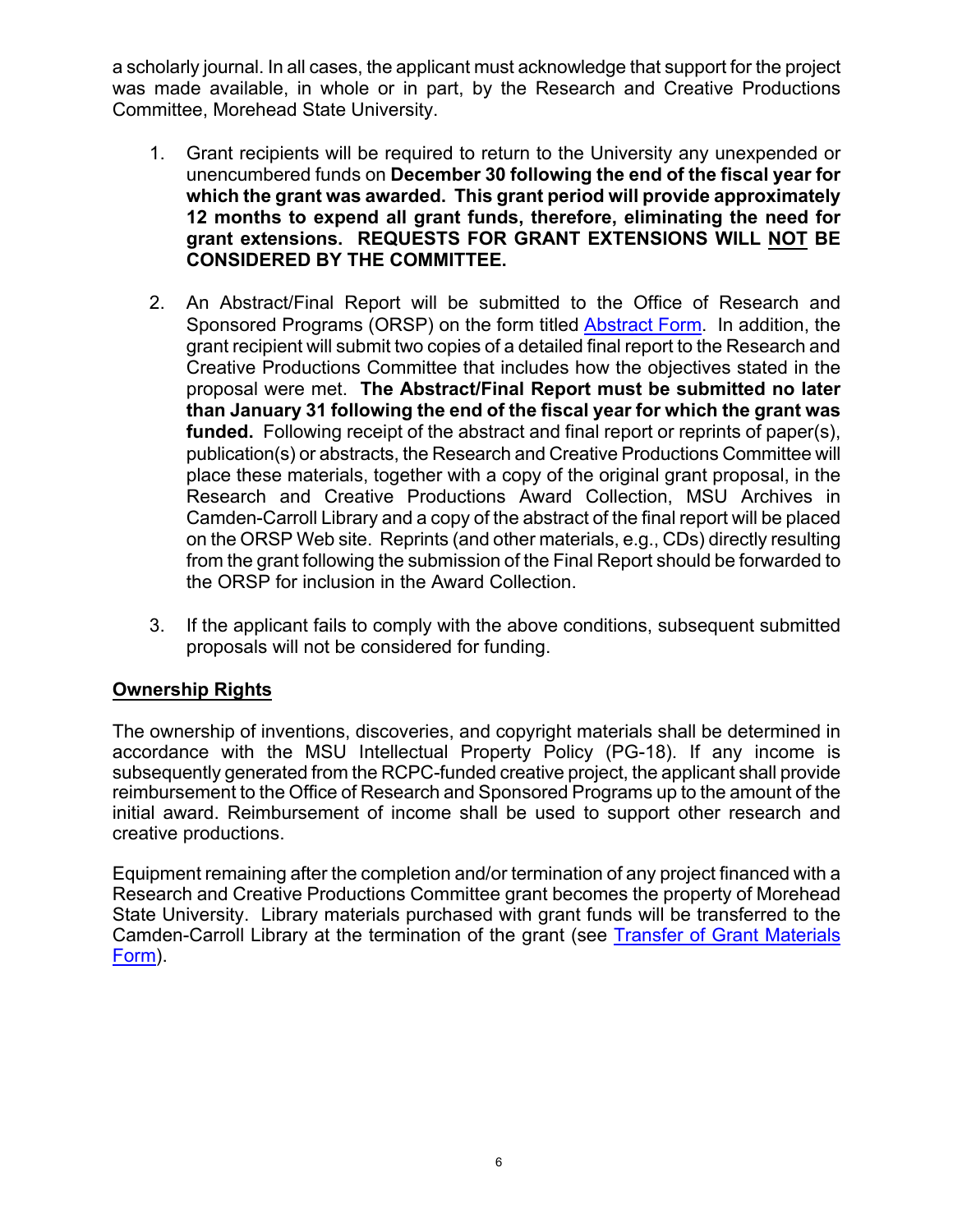a scholarly journal. In all cases, the applicant must acknowledge that support for the project was made available, in whole or in part, by the Research and Creative Productions Committee, Morehead State University.

- 1. Grant recipients will be required to return to the University any unexpended or unencumbered funds on **December 30 following the end of the fiscal year for which the grant was awarded. This grant period will provide approximately 12 months to expend all grant funds, therefore, eliminating the need for grant extensions. REQUESTS FOR GRANT EXTENSIONS WILL NOT BE CONSIDERED BY THE COMMITTEE.**
- 2. An Abstract/Final Report will be submitted to the Office of Research and Sponsored Programs (ORSP) on the form titled Abstract Form. In addition, the grant recipient will submit two copies of a detailed final report to the Research and Creative Productions Committee that includes how the objectives stated in the proposal were met. **The Abstract/Final Report must be submitted no later than January 31 following the end of the fiscal year for which the grant was funded.** Following receipt of the abstract and final report or reprints of paper(s), publication(s) or abstracts, the Research and Creative Productions Committee will place these materials, together with a copy of the original grant proposal, in the Research and Creative Productions Award Collection, MSU Archives in Camden-Carroll Library and a copy of the abstract of the final report will be placed on the ORSP Web site. Reprints (and other materials, e.g., CDs) directly resulting from the grant following the submission of the Final Report should be forwarded to the ORSP for inclusion in the Award Collection.
- 3. If the applicant fails to comply with the above conditions, subsequent submitted proposals will not be considered for funding.

# **Ownership Rights**

The ownership of inventions, discoveries, and copyright materials shall be determined in accordance with the MSU Intellectual Property Policy (PG-18). If any income is subsequently generated from the RCPC-funded creative project, the applicant shall provide reimbursement to the Office of Research and Sponsored Programs up to the amount of the initial award. Reimbursement of income shall be used to support other research and creative productions.

Equipment remaining after the completion and/or termination of any project financed with a Research and Creative Productions Committee grant becomes the property of Morehead State University. Library materials purchased with grant funds will be transferred to the Camden-Carroll Library at the termination of the grant (see Transfer of Grant Materials Form).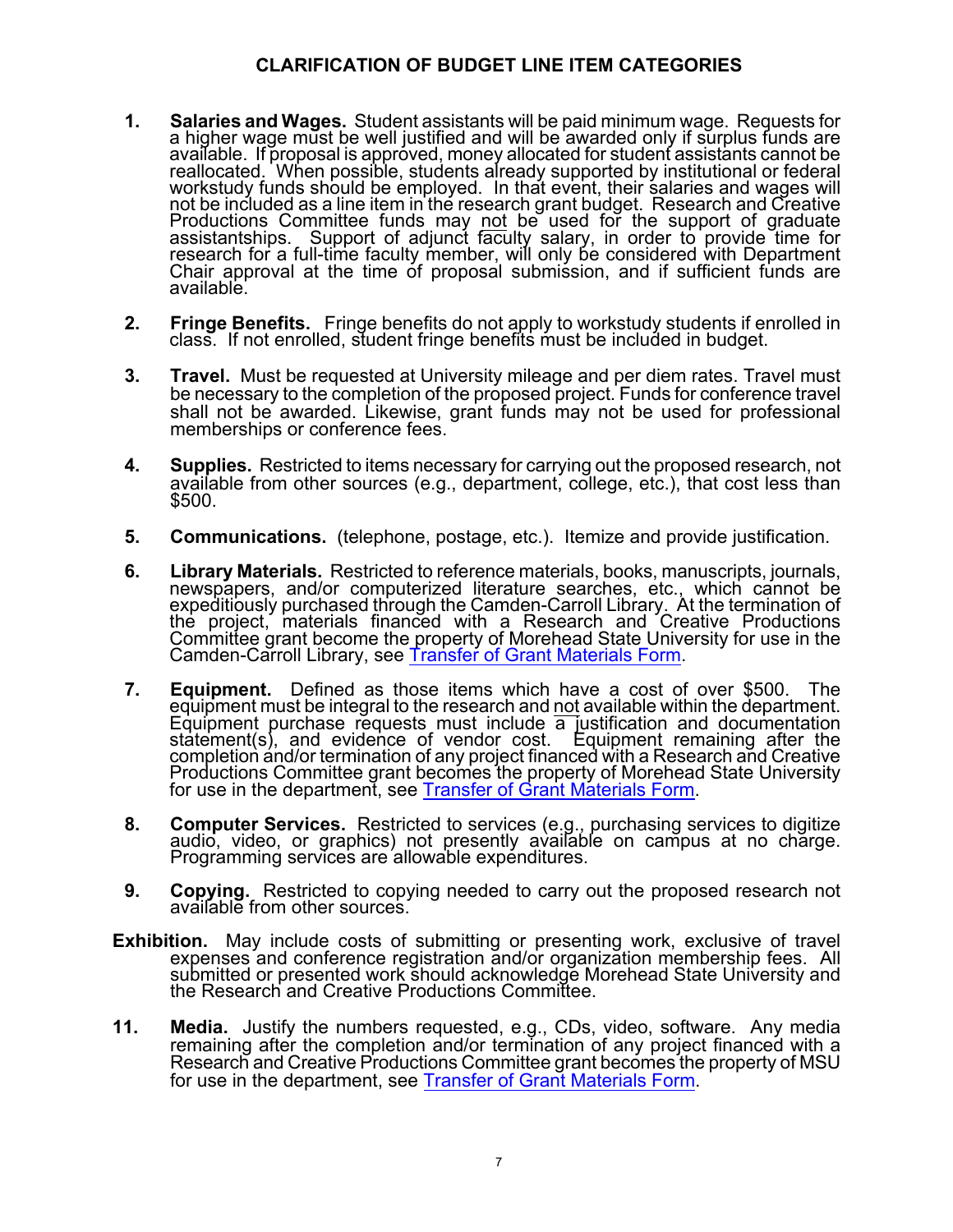## **CLARIFICATION OF BUDGET LINE ITEM CATEGORIES**

- **1.** Salaries and Wages. Student assistants will be paid minimum wage. Requests for a higher wage must be well justified and will be awarded only if surplus funds are available. If proposal is approved, money allocated for not be included as a line item in the research grant budget. Research and Creative Productions Committee funds may <u>not</u> be used for the support of graduate<br>assistantships. Support of adjunct faculty salary, in order to provide time for research for a full-time faculty member, will only be considered with Department<br>Chair approval at the time of proposal submission, and if sufficient funds are available.
- **2. Fringe Benefits.** Fringe benefits do not apply to workstudy students if enrolled in class. If not enrolled, student fringe benefits must be included in budget.
- **3. Travel.** Must be requested at University mileage and per diem rates. Travel must be necessary to the completion of the proposed project. Funds for conference travel shall not be awarded. Likewise, grant funds may not be used for professional memberships or conference fees.
- **4. Supplies.** Restricted to items necessary for carrying out the proposed research, not available from other sources (e.g., department, college, etc.), that cost less than \$500.
- **5. Communications.** (telephone, postage, etc.). Itemize and provide justification.
- **6. Library Materials.** Restricted to reference materials, books, manuscripts, journals, newspapers, and/or computerized literature searches, etc., which cannot be expeditiously purchased through the Camden-Carroll Library. At the termination of<br>the project, materials financed with a Research and Creative Productions Committee grant become the property of Morehead State University for use in the Camden-Carroll Library, see Transfer of Grant Materials Form.
- **7. Equipment.** Defined as those items which have a cost of over \$500. The equipment must be integral to the research and not available within the department. Equipment purchase requests must include a justification and documentation statement(s), and evidence of vendor cost. Equipment remaining after the completion and/or termination of any project financed with a Research and Productions Committee grant becomes the property of Morehead State University for use in the department, see Transfer of Grant Materials Form.
- **8. Computer Services.** Restricted to services (e.g., purchasing services to digitize audio, video, or graphics) not presently available on campus at no charge. Programming services are allowable expenditures.
- **9. Copying.** Restricted to copying needed to carry out the proposed research not available from other sources.
- **Exhibition.** May include costs of submitting or presenting work, exclusive of travel expenses and conference registration and/or organization membership fees. All submitted or presented work should acknowledge Morehead State University and the Research and Creative Productions Committee.
- **11. Media.** Justify the numbers requested, e.g., CDs, video, software. Any media remaining after the completion and/or termination of any project financed with a Research and Creative Productions Committee grant becomes the property of MSU for use in the department, see Transfer of Grant Materials Form.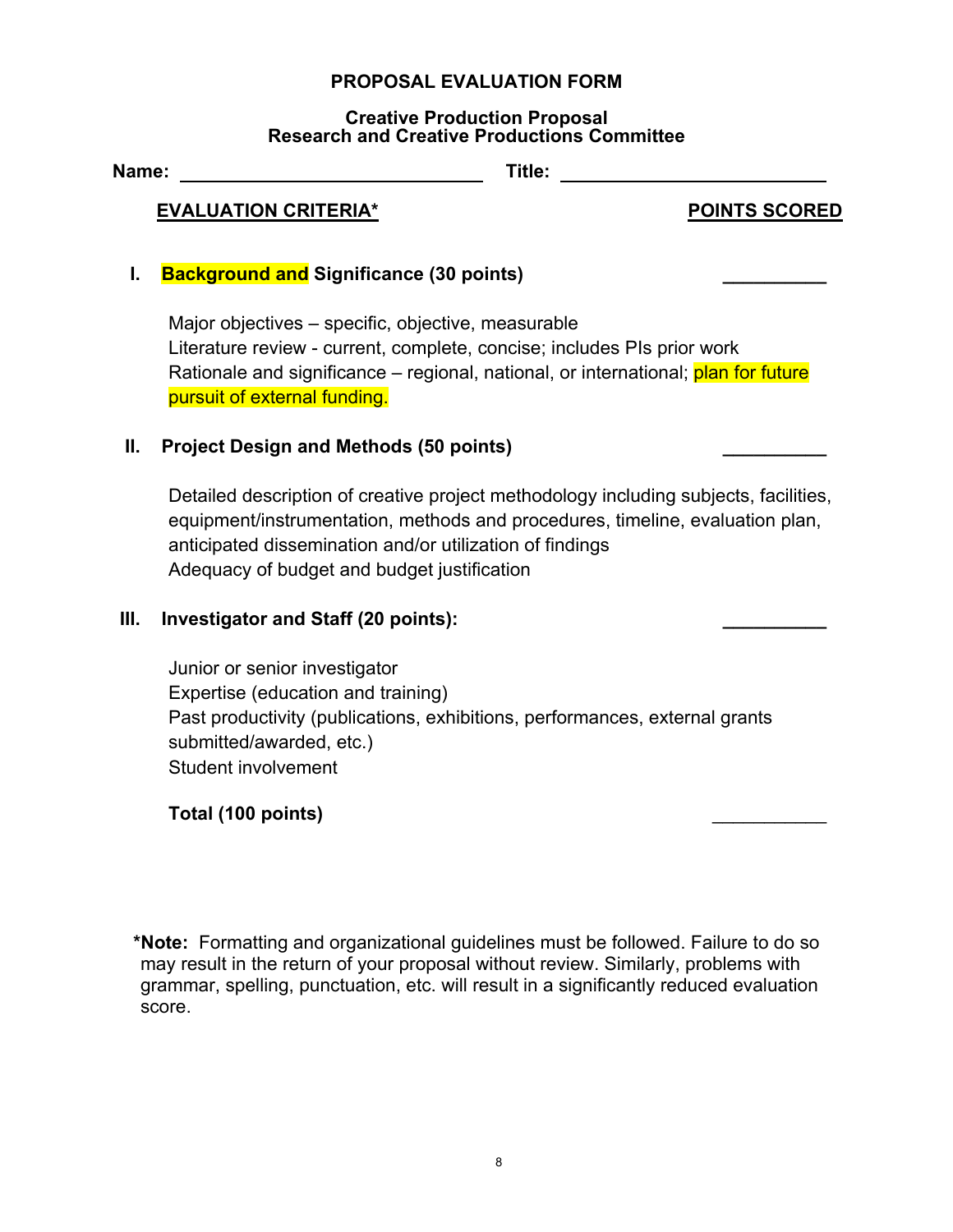#### **PROPOSAL EVALUATION FORM**

#### **Creative Production Proposal Research and Creative Productions Committee**

| Name: |                                                | Title: |                      |
|-------|------------------------------------------------|--------|----------------------|
|       | <b>EVALUATION CRITERIA*</b>                    |        | <b>POINTS SCORED</b> |
|       | <b>Background and Significance (30 points)</b> |        |                      |

Major objectives – specific, objective, measurable Literature review - current, complete, concise; includes PIs prior work Rationale and significance – regional, national, or international; plan for future pursuit of external funding.

## **II. Project Design and Methods (50 points) \_\_\_\_\_\_\_\_\_\_**

Detailed description of creative project methodology including subjects, facilities, equipment/instrumentation, methods and procedures, timeline, evaluation plan, anticipated dissemination and/or utilization of findings Adequacy of budget and budget justification

## **III. Investigator and Staff (20 points): \_\_\_\_\_\_\_\_\_\_**

Junior or senior investigator Expertise (education and training) Past productivity (publications, exhibitions, performances, external grants submitted/awarded, etc.) Student involvement

# **Total (100 points)** \_\_\_\_\_\_\_\_\_\_\_

**\*Note:** Formatting and organizational guidelines must be followed. Failure to do so may result in the return of your proposal without review. Similarly, problems with grammar, spelling, punctuation, etc. will result in a significantly reduced evaluation score.